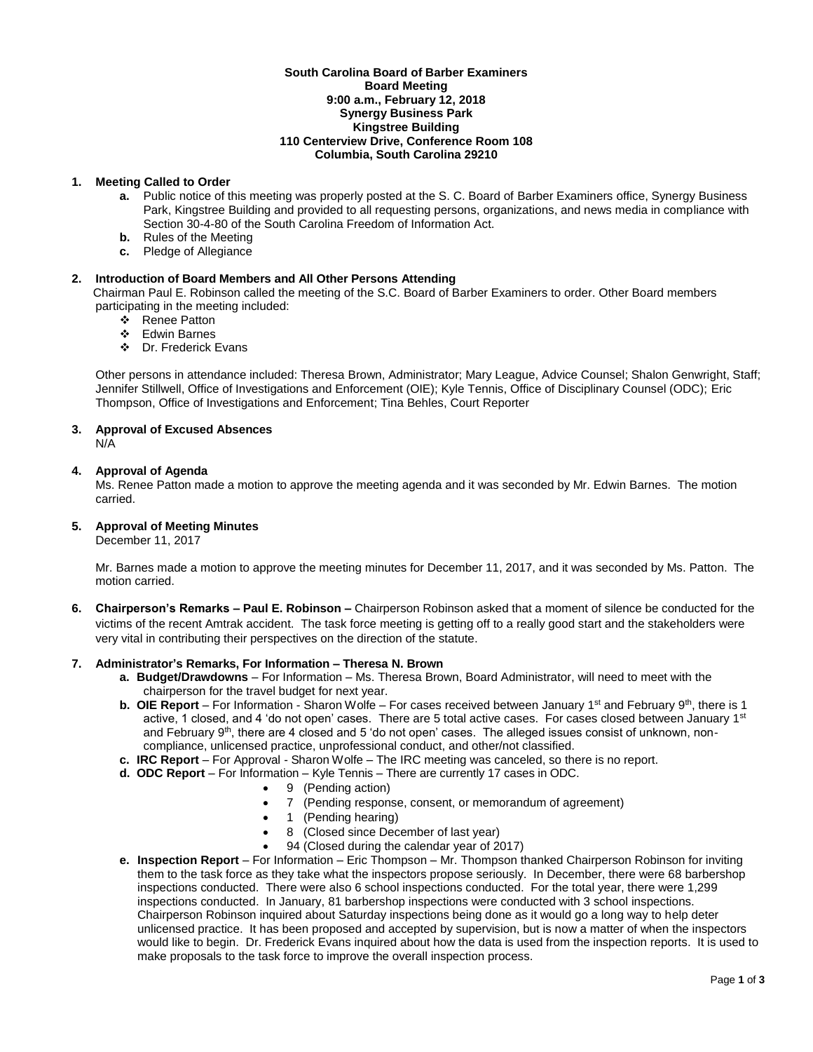#### **South Carolina Board of Barber Examiners Board Meeting 9:00 a.m., February 12, 2018 Synergy Business Park Kingstree Building 110 Centerview Drive, Conference Room 108 Columbia, South Carolina 29210**

# **1. Meeting Called to Order**

- **a.** Public notice of this meeting was properly posted at the S. C. Board of Barber Examiners office, Synergy Business Park, Kingstree Building and provided to all requesting persons, organizations, and news media in compliance with Section 30-4-80 of the South Carolina Freedom of Information Act.
- **b.** Rules of the Meeting
- **c.** Pledge of Allegiance

# **2. Introduction of Board Members and All Other Persons Attending**

Chairman Paul E. Robinson called the meeting of the S.C. Board of Barber Examiners to order. Other Board members participating in the meeting included:

- ❖ Renee Patton
- Edwin Barnes
- Dr. Frederick Evans

Other persons in attendance included: Theresa Brown, Administrator; Mary League, Advice Counsel; Shalon Genwright, Staff; Jennifer Stillwell, Office of Investigations and Enforcement (OIE); Kyle Tennis, Office of Disciplinary Counsel (ODC); Eric Thompson, Office of Investigations and Enforcement; Tina Behles, Court Reporter

# **3. Approval of Excused Absences**

N/A

# **4. Approval of Agenda**

Ms. Renee Patton made a motion to approve the meeting agenda and it was seconded by Mr. Edwin Barnes. The motion carried.

# **5. Approval of Meeting Minutes**

December 11, 2017

Mr. Barnes made a motion to approve the meeting minutes for December 11, 2017, and it was seconded by Ms. Patton. The motion carried.

**6. Chairperson's Remarks – Paul E. Robinson –** Chairperson Robinson asked that a moment of silence be conducted for the victims of the recent Amtrak accident.The task force meeting is getting off to a really good start and the stakeholders were very vital in contributing their perspectives on the direction of the statute.

# **7. Administrator's Remarks, For Information – Theresa N. Brown**

- **a. Budget/Drawdowns** For Information Ms. Theresa Brown, Board Administrator, will need to meet with the chairperson for the travel budget for next year.
- **b.** OIE Report For Information Sharon Wolfe For cases received between January 1<sup>st</sup> and February 9<sup>th</sup>, there is 1 active, 1 closed, and 4 'do not open' cases. There are 5 total active cases. For cases closed between January 1<sup>st</sup> and February 9<sup>th</sup>, there are 4 closed and 5 'do not open' cases. The alleged issues consist of unknown, noncompliance, unlicensed practice, unprofessional conduct, and other/not classified.
- **c. IRC Report**  For Approval Sharon Wolfe The IRC meeting was canceled, so there is no report.
- **d. ODC Report**  For Information Kyle Tennis There are currently 17 cases in ODC.
	- 9 (Pending action)
		- 7 (Pending response, consent, or memorandum of agreement)
	- 1 (Pending hearing)
	- 8 (Closed since December of last year)
	- 94 (Closed during the calendar year of 2017)
- **e. Inspection Report** For Information Eric Thompson Mr. Thompson thanked Chairperson Robinson for inviting them to the task force as they take what the inspectors propose seriously. In December, there were 68 barbershop inspections conducted. There were also 6 school inspections conducted. For the total year, there were 1,299 inspections conducted. In January, 81 barbershop inspections were conducted with 3 school inspections. Chairperson Robinson inquired about Saturday inspections being done as it would go a long way to help deter unlicensed practice. It has been proposed and accepted by supervision, but is now a matter of when the inspectors would like to begin. Dr. Frederick Evans inquired about how the data is used from the inspection reports. It is used to make proposals to the task force to improve the overall inspection process.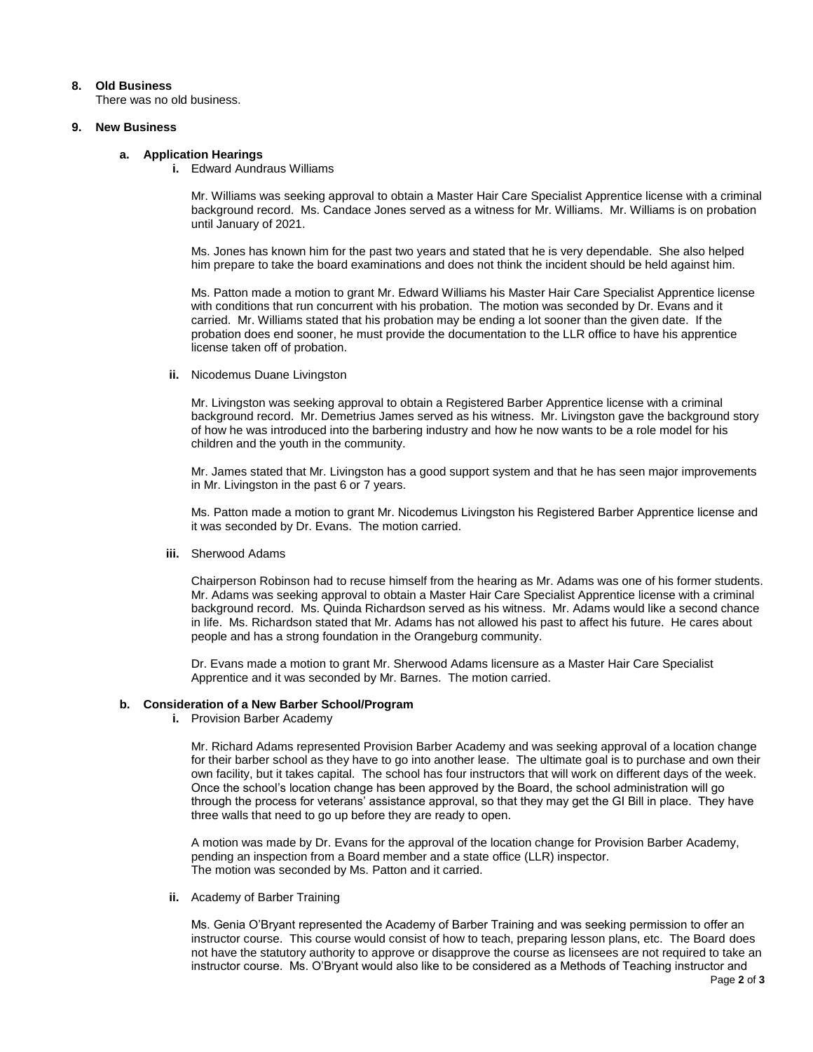## **8. Old Business**

There was no old business.

#### **9. New Business**

# **a. Application Hearings**

**i.** Edward Aundraus Williams

Mr. Williams was seeking approval to obtain a Master Hair Care Specialist Apprentice license with a criminal background record. Ms. Candace Jones served as a witness for Mr. Williams. Mr. Williams is on probation until January of 2021.

Ms. Jones has known him for the past two years and stated that he is very dependable. She also helped him prepare to take the board examinations and does not think the incident should be held against him.

Ms. Patton made a motion to grant Mr. Edward Williams his Master Hair Care Specialist Apprentice license with conditions that run concurrent with his probation. The motion was seconded by Dr. Evans and it carried. Mr. Williams stated that his probation may be ending a lot sooner than the given date. If the probation does end sooner, he must provide the documentation to the LLR office to have his apprentice license taken off of probation.

#### **ii.** Nicodemus Duane Livingston

Mr. Livingston was seeking approval to obtain a Registered Barber Apprentice license with a criminal background record. Mr. Demetrius James served as his witness. Mr. Livingston gave the background story of how he was introduced into the barbering industry and how he now wants to be a role model for his children and the youth in the community.

Mr. James stated that Mr. Livingston has a good support system and that he has seen major improvements in Mr. Livingston in the past 6 or 7 years.

Ms. Patton made a motion to grant Mr. Nicodemus Livingston his Registered Barber Apprentice license and it was seconded by Dr. Evans. The motion carried.

#### **iii.** Sherwood Adams

Chairperson Robinson had to recuse himself from the hearing as Mr. Adams was one of his former students. Mr. Adams was seeking approval to obtain a Master Hair Care Specialist Apprentice license with a criminal background record. Ms. Quinda Richardson served as his witness. Mr. Adams would like a second chance in life. Ms. Richardson stated that Mr. Adams has not allowed his past to affect his future. He cares about people and has a strong foundation in the Orangeburg community.

Dr. Evans made a motion to grant Mr. Sherwood Adams licensure as a Master Hair Care Specialist Apprentice and it was seconded by Mr. Barnes. The motion carried.

## **b. Consideration of a New Barber School/Program**

**i.** Provision Barber Academy

Mr. Richard Adams represented Provision Barber Academy and was seeking approval of a location change for their barber school as they have to go into another lease. The ultimate goal is to purchase and own their own facility, but it takes capital. The school has four instructors that will work on different days of the week. Once the school's location change has been approved by the Board, the school administration will go through the process for veterans' assistance approval, so that they may get the GI Bill in place. They have three walls that need to go up before they are ready to open.

A motion was made by Dr. Evans for the approval of the location change for Provision Barber Academy, pending an inspection from a Board member and a state office (LLR) inspector. The motion was seconded by Ms. Patton and it carried.

**ii.** Academy of Barber Training

Ms. Genia O'Bryant represented the Academy of Barber Training and was seeking permission to offer an instructor course. This course would consist of how to teach, preparing lesson plans, etc. The Board does not have the statutory authority to approve or disapprove the course as licensees are not required to take an instructor course. Ms. O'Bryant would also like to be considered as a Methods of Teaching instructor and